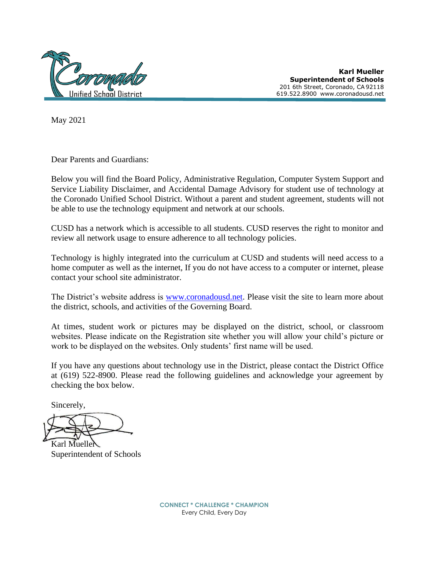

**Karl Mueller Superintendent of Schools**  201 6th Street, Coronado, CA 92118 619.522.8900 [www.coronadousd.net](http://www.coronadousd.net/)

May 2021

Dear Parents and Guardians:

Below you will find the Board Policy, Administrative Regulation, Computer System Support and Service Liability Disclaimer, and Accidental Damage Advisory for student use of technology at the Coronado Unified School District. Without a parent and student agreement, students will not be able to use the technology equipment and network at our schools.

CUSD has a network which is accessible to all students. CUSD reserves the right to monitor and review all network usage to ensure adherence to all technology policies.

Technology is highly integrated into the curriculum at CUSD and students will need access to a home computer as well as the internet, If you do not have access to a computer or internet, please contact your school site administrator.

The District's website address is [www.coronadousd.net.](http://www.coronadousd.net/) Please visit the site to learn more about the district, schools, and activities of the Governing Board.

At times, student work or pictures may be displayed on the district, school, or classroom websites. Please indicate on the Registration site whether you will allow your child's picture or work to be displayed on the websites. Only students' first name will be used.

If you have any questions about technology use in the District, please contact the District Office at (619) 522-8900. Please read the following guidelines and acknowledge your agreement by checking the box below.

Sincerely,

Karl Mueller Superintendent of Schools

**CONNECT \* CHALLENGE \* CHAMPION** Every Child, Every Day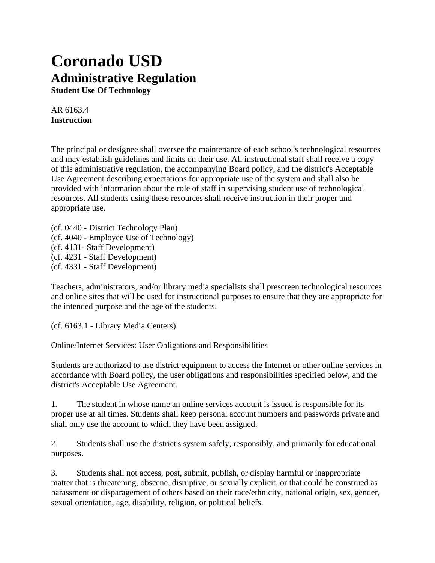# **Coronado USD Administrative Regulation**

**Student Use Of Technology**

AR 6163.4 **Instruction**

The principal or designee shall oversee the maintenance of each school's technological resources and may establish guidelines and limits on their use. All instructional staff shall receive a copy of this administrative regulation, the accompanying Board policy, and the district's Acceptable Use Agreement describing expectations for appropriate use of the system and shall also be provided with information about the role of staff in supervising student use of technological resources. All students using these resources shall receive instruction in their proper and appropriate use.

(cf. 0440 - District Technology Plan) (cf. 4040 - Employee Use of Technology) (cf. 4131- Staff Development) (cf. 4231 - Staff Development) (cf. 4331 - Staff Development)

Teachers, administrators, and/or library media specialists shall prescreen technological resources and online sites that will be used for instructional purposes to ensure that they are appropriate for the intended purpose and the age of the students.

(cf. 6163.1 - Library Media Centers)

Online/Internet Services: User Obligations and Responsibilities

Students are authorized to use district equipment to access the Internet or other online services in accordance with Board policy, the user obligations and responsibilities specified below, and the district's Acceptable Use Agreement.

1. The student in whose name an online services account is issued is responsible for its proper use at all times. Students shall keep personal account numbers and passwords private and shall only use the account to which they have been assigned.

2. Students shall use the district's system safely, responsibly, and primarily for educational purposes.

3. Students shall not access, post, submit, publish, or display harmful or inappropriate matter that is threatening, obscene, disruptive, or sexually explicit, or that could be construed as harassment or disparagement of others based on their race/ethnicity, national origin, sex, gender, sexual orientation, age, disability, religion, or political beliefs.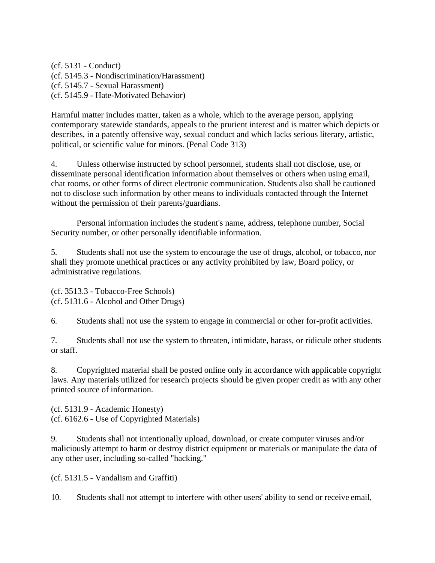(cf. 5131 - Conduct) (cf. 5145.3 - Nondiscrimination/Harassment) (cf. 5145.7 - Sexual Harassment) (cf. 5145.9 - Hate-Motivated Behavior)

Harmful matter includes matter, taken as a whole, which to the average person, applying contemporary statewide standards, appeals to the prurient interest and is matter which depicts or describes, in a patently offensive way, sexual conduct and which lacks serious literary, artistic, political, or scientific value for minors. (Penal Code 313)

4. Unless otherwise instructed by school personnel, students shall not disclose, use, or disseminate personal identification information about themselves or others when using email, chat rooms, or other forms of direct electronic communication. Students also shall be cautioned not to disclose such information by other means to individuals contacted through the Internet without the permission of their parents/guardians.

Personal information includes the student's name, address, telephone number, Social Security number, or other personally identifiable information.

5. Students shall not use the system to encourage the use of drugs, alcohol, or tobacco, nor shall they promote unethical practices or any activity prohibited by law, Board policy, or administrative regulations.

(cf. 3513.3 - Tobacco-Free Schools) (cf. 5131.6 - Alcohol and Other Drugs)

6. Students shall not use the system to engage in commercial or other for-profit activities.

7. Students shall not use the system to threaten, intimidate, harass, or ridicule other students or staff.

8. Copyrighted material shall be posted online only in accordance with applicable copyright laws. Any materials utilized for research projects should be given proper credit as with any other printed source of information.

(cf. 5131.9 - Academic Honesty) (cf. 6162.6 - Use of Copyrighted Materials)

9. Students shall not intentionally upload, download, or create computer viruses and/or maliciously attempt to harm or destroy district equipment or materials or manipulate the data of any other user, including so-called "hacking."

(cf. 5131.5 - Vandalism and Graffiti)

10. Students shall not attempt to interfere with other users' ability to send or receive email,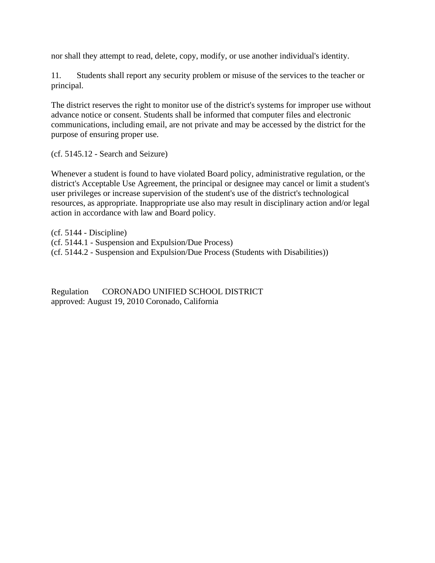nor shall they attempt to read, delete, copy, modify, or use another individual's identity.

11. Students shall report any security problem or misuse of the services to the teacher or principal.

The district reserves the right to monitor use of the district's systems for improper use without advance notice or consent. Students shall be informed that computer files and electronic communications, including email, are not private and may be accessed by the district for the purpose of ensuring proper use.

(cf. 5145.12 - Search and Seizure)

Whenever a student is found to have violated Board policy, administrative regulation, or the district's Acceptable Use Agreement, the principal or designee may cancel or limit a student's user privileges or increase supervision of the student's use of the district's technological resources, as appropriate. Inappropriate use also may result in disciplinary action and/or legal action in accordance with law and Board policy.

(cf. 5144 - Discipline) (cf. 5144.1 - Suspension and Expulsion/Due Process) (cf. 5144.2 - Suspension and Expulsion/Due Process (Students with Disabilities))

Regulation CORONADO UNIFIED SCHOOL DISTRICT approved: August 19, 2010 Coronado, California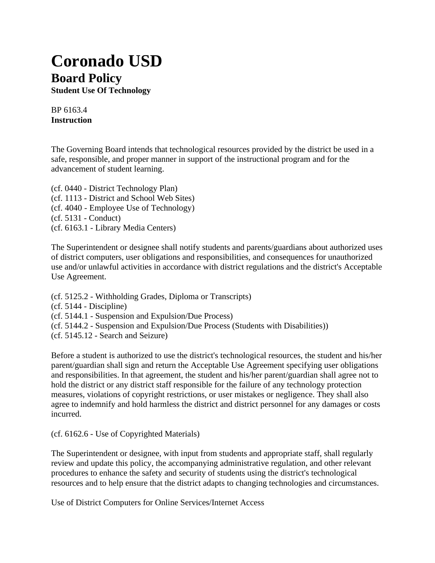## **Coronado USD Board Policy**

**Student Use Of Technology**

BP 6163.4 **Instruction**

The Governing Board intends that technological resources provided by the district be used in a safe, responsible, and proper manner in support of the instructional program and for the advancement of student learning.

(cf. 0440 - District Technology Plan) (cf. 1113 - District and School Web Sites) (cf. 4040 - Employee Use of Technology) (cf. 5131 - Conduct) (cf. 6163.1 - Library Media Centers)

The Superintendent or designee shall notify students and parents/guardians about authorized uses of district computers, user obligations and responsibilities, and consequences for unauthorized use and/or unlawful activities in accordance with district regulations and the district's Acceptable Use Agreement.

(cf. 5125.2 - Withholding Grades, Diploma or Transcripts)

(cf. 5144 - Discipline)

(cf. 5144.1 - Suspension and Expulsion/Due Process)

(cf. 5144.2 - Suspension and Expulsion/Due Process (Students with Disabilities))

(cf. 5145.12 - Search and Seizure)

Before a student is authorized to use the district's technological resources, the student and his/her parent/guardian shall sign and return the Acceptable Use Agreement specifying user obligations and responsibilities. In that agreement, the student and his/her parent/guardian shall agree not to hold the district or any district staff responsible for the failure of any technology protection measures, violations of copyright restrictions, or user mistakes or negligence. They shall also agree to indemnify and hold harmless the district and district personnel for any damages or costs incurred.

(cf. 6162.6 - Use of Copyrighted Materials)

The Superintendent or designee, with input from students and appropriate staff, shall regularly review and update this policy, the accompanying administrative regulation, and other relevant procedures to enhance the safety and security of students using the district's technological resources and to help ensure that the district adapts to changing technologies and circumstances.

Use of District Computers for Online Services/Internet Access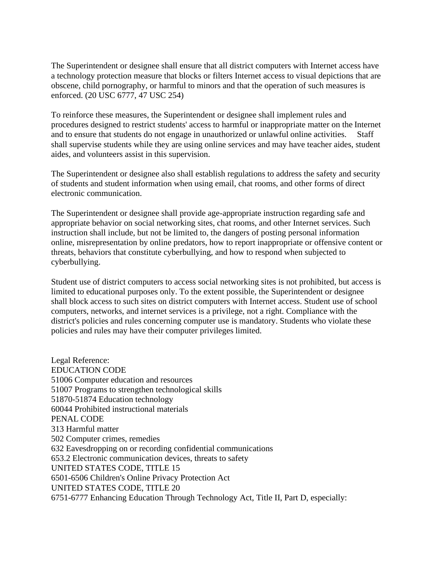The Superintendent or designee shall ensure that all district computers with Internet access have a technology protection measure that blocks or filters Internet access to visual depictions that are obscene, child pornography, or harmful to minors and that the operation of such measures is enforced. (20 USC 6777, 47 USC 254)

To reinforce these measures, the Superintendent or designee shall implement rules and procedures designed to restrict students' access to harmful or inappropriate matter on the Internet and to ensure that students do not engage in unauthorized or unlawful online activities. Staff shall supervise students while they are using online services and may have teacher aides, student aides, and volunteers assist in this supervision.

The Superintendent or designee also shall establish regulations to address the safety and security of students and student information when using email, chat rooms, and other forms of direct electronic communication.

The Superintendent or designee shall provide age-appropriate instruction regarding safe and appropriate behavior on social networking sites, chat rooms, and other Internet services. Such instruction shall include, but not be limited to, the dangers of posting personal information online, misrepresentation by online predators, how to report inappropriate or offensive content or threats, behaviors that constitute cyberbullying, and how to respond when subjected to cyberbullying.

Student use of district computers to access social networking sites is not prohibited, but access is limited to educational purposes only. To the extent possible, the Superintendent or designee shall block access to such sites on district computers with Internet access. Student use of school computers, networks, and internet services is a privilege, not a right. Compliance with the district's policies and rules concerning computer use is mandatory. Students who violate these policies and rules may have their computer privileges limited.

Legal Reference: EDUCATION CODE 51006 Computer education and resources 51007 Programs to strengthen technological skills 51870-51874 Education technology 60044 Prohibited instructional materials PENAL CODE 313 Harmful matter 502 Computer crimes, remedies 632 Eavesdropping on or recording confidential communications 653.2 Electronic communication devices, threats to safety UNITED STATES CODE, TITLE 15 6501-6506 Children's Online Privacy Protection Act UNITED STATES CODE, TITLE 20 6751-6777 Enhancing Education Through Technology Act, Title II, Part D, especially: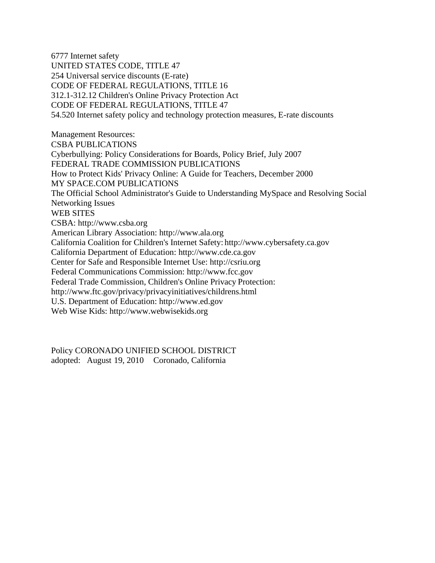6777 Internet safety UNITED STATES CODE, TITLE 47 254 Universal service discounts (E-rate) CODE OF FEDERAL REGULATIONS, TITLE 16 312.1-312.12 Children's Online Privacy Protection Act CODE OF FEDERAL REGULATIONS, TITLE 47 54.520 Internet safety policy and technology protection measures, E-rate discounts

Management Resources: CSBA PUBLICATIONS Cyberbullying: Policy Considerations for Boards, Policy Brief, July 2007 FEDERAL TRADE COMMISSION PUBLICATIONS How to Protect Kids' Privacy Online: A Guide for Teachers, December 2000 MY SPACE.COM PUBLICATIONS The Official School Administrator's Guide to Understanding MySpace and Resolving Social Networking Issues WEB SITES CSBA: [http://www.csba.org](http://www.csba.org/) American Library Association: [http://www.ala.org](http://www.ala.org/) California Coalition for Children's Internet Safety: [http://www.cybersafety.ca.gov](http://www.cybersafety.ca.gov/) California Department of Education: [http://www.cde.ca.gov](http://www.cde.ca.gov/) Center for Safe and Responsible Internet Us[e: http://csriu.org](http://csriu.org/) Federal Communications Commission: [http://www.fcc.gov](http://www.fcc.gov/) Federal Trade Commission, Children's Online Privacy Protection: <http://www.ftc.gov/privacy/privacyinitiatives/childrens.html> U.S. Department of Educ[ation: http://www.ed.gov](http://www.ed.gov/) Web Wise Kids: [http://www.webwisekids.org](http://www.webwisekids.org/)

Policy CORONADO UNIFIED SCHOOL DISTRICT adopted: August 19, 2010 Coronado, California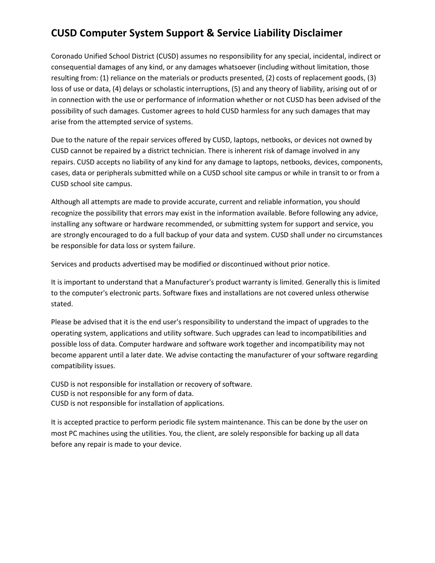## **CUSD Computer System Support & Service Liability Disclaimer**

Coronado Unified School District (CUSD) assumes no responsibility for any special, incidental, indirect or consequential damages of any kind, or any damages whatsoever (including without limitation, those resulting from: (1) reliance on the materials or products presented, (2) costs of replacement goods, (3) loss of use or data, (4) delays or scholastic interruptions, (5) and any theory of liability, arising out of or in connection with the use or performance of information whether or not CUSD has been advised of the possibility of such damages. Customer agrees to hold CUSD harmless for any such damages that may arise from the attempted service of systems.

Due to the nature of the repair services offered by CUSD, laptops, netbooks, or devices not owned by CUSD cannot be repaired by a district technician. There is inherent risk of damage involved in any repairs. CUSD accepts no liability of any kind for any damage to laptops, netbooks, devices, components, cases, data or peripherals submitted while on a CUSD school site campus or while in transit to or from a CUSD school site campus.

Although all attempts are made to provide accurate, current and reliable information, you should recognize the possibility that errors may exist in the information available. Before following any advice, installing any software or hardware recommended, or submitting system for support and service, you are strongly encouraged to do a full backup of your data and system. CUSD shall under no circumstances be responsible for data loss or system failure.

Services and products advertised may be modified or discontinued without prior notice.

It is important to understand that a Manufacturer's product warranty is limited. Generally this is limited to the computer's electronic parts. Software fixes and installations are not covered unless otherwise stated.

Please be advised that it is the end user's responsibility to understand the impact of upgrades to the operating system, applications and utility software. Such upgrades can lead to incompatibilities and possible loss of data. Computer hardware and software work together and incompatibility may not become apparent until a later date. We advise contacting the manufacturer of your software regarding compatibility issues.

CUSD is not responsible for installation or recovery of software. CUSD is not responsible for any form of data. CUSD is not responsible for installation of applications.

It is accepted practice to perform periodic file system maintenance. This can be done by the user on most PC machines using the utilities. You, the client, are solely responsible for backing up all data before any repair is made to your device.